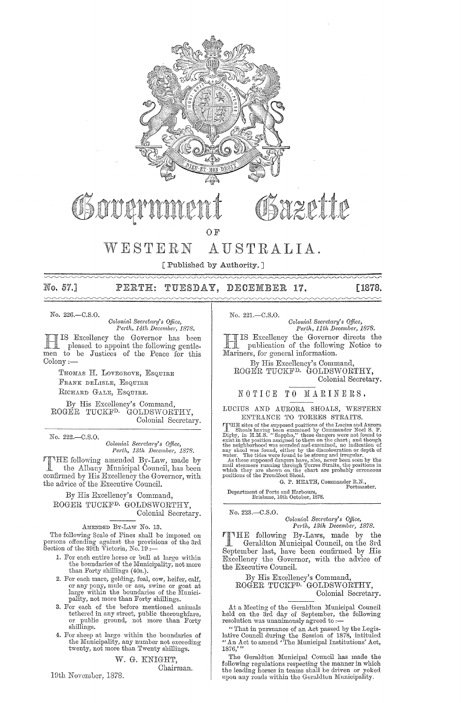

Sazette

OF

# WESTERN AUSTRALIA.

[Published by Authority.]

#### No. 57.1 TUESDAY, PERTH: DECEMBER 17. [1878.]

No. 226.-C.S.O.

 $\sim\sim\sim\sim$ 

 $Colonial$  Secretary's Office, *Perth, 14th Decembet, 1878.* 

IS Excellency the Governor has been<br>pleased to appoint the following gentlemen to be Justices of the Peace for this Colony:-

> THOMAS H. LOVEGROVE, ESQUIRE FRANK DELISLE, ESQUIRE RICHARD GALE, ESQUIRE.

By His Excellency's Command, ROGER TUCKFD. GOLDSWORTHY, Colonial Secretary.

No. 222.-C.S.O.

*Colonial Secretwi'Y's Qf}icc, Perth, 13th December, 1878.* 

following amended By-Law, made by the Albany Municipal Council, has been confirmed by His Excellency the Governor, with the advice of the Executive Council.

By His Excellency's Command, ROGER TUCKFD. GOLDSWORTHY, Colonial Secretary.

AMENDED By-LAW No. 13.

The following Scale of Fines shall be imposed on persons offending against the provisions of the 3rd<br>Section of the 39th Victoria, No. 19 :—

- 1. For each entire horse or bull at large within the boundaries of the Municipality, not more than Forty shillings (40s.).
- 2. For each mare, gelding, foal, cow, heifer, calf, or any pony, mule or ass, swine or goat at large within the boundaries of the Municipality, not more than Forty shillings.
- 3. For each of the before mentioned animals tethered in any street, public thoroughfare, or public ground, not more than Forty shillings.
- 4. For sheep at large within the boundaries of the Municipality, any number not exceeding twenty, not more than Twenty shillings.

W. G. KNIGHT,

Chairman.

19th November, 1878.

No. 221.-C.S.O.

*Colonial Sem'etary's Qf}ice, Perth, 11th December, 1878.* 

H IS Excellency the Governor directs the publication of the following Notice to Mariners, for general information.

By His Excellency's Command, ROGER TUCKFD. GOLDSWORTHY, Colonial Secretary.

NOTICE TO MARINERS.

#### LUCIUS AND AURORA SHOALS, WESTERN ENTRANCE TO TORRES STRAITS.

ENTRANCE TO TOKKES STRAITS.<br>
FRIES REACTS CONTRANCE TO TOKKES STRAITS.<br>
THE sites of the supposed positions of the Lucius and Aurora<br>
1 Shoals having been examined by Commander Noel S. F.<br>
Dighy, in H.M.S. "Sappho," these

G. P. HEATH, Commander R.N., Portmaster.

Department of Ports and Harbours, Brisbane, 16th October, 1878.

No. 223.-C.S.O. *Colonial Secretary's Office, Perth, 13th December, 1878.* 

TIHE following By-Laws, made by the Geraldton Municipal Council, on the 3rd September last, have been confirmed by His Excellency the Governor, with the advice of the Executive Council.

By His Excellency's Command, ROGER TUCKFD. GOLDSWORTHY, Colonial Secretary.

At a Meeting of the Geraldton Municipal Council held on the 3rd day of September, the following resolution was unanimously agreed to :-

"That in pursuance of an Act passed by the Legislative Council during the Session of 1878, intituled "An Act to amend 'The Municipal Institutions' Act, 1876,"

The Geraldton Municipal Council has made the following regulations respecting the manner in which the leading horses in teams shall be driven or yoked upon any roads within the Geraldton Municipality.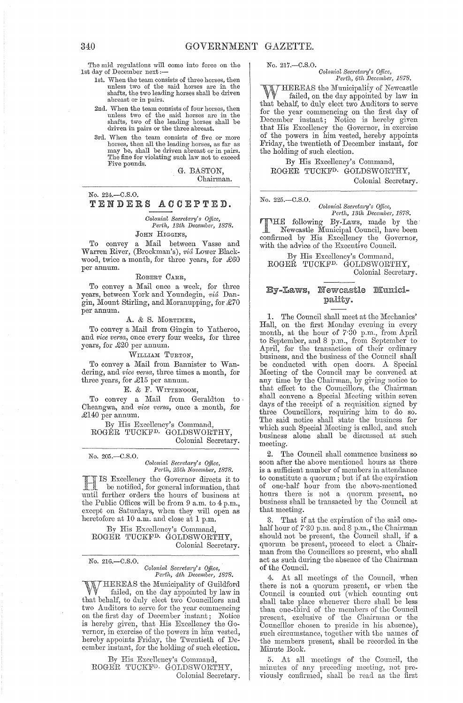The said regulations will come into force on the 1st day of December next:-

- 1st. When the team consists of three horses, then unless two of the said horses are in the shafts, the two leading horses shall be driven abreast or in pairs.
- 2nd. When the team consists of four horses, then unless two of the said horses are in the shafts, two of the leading horses shall be driven in pairs or the three abreast.
- 3rd. When the team consists of five or more horses, then all the leading horses, as far as may be, shall be driven abreast or in pairs. The fine for violating such law not to exceed Five pounds.

G. BASTON,

Chairman.

No. 224.-C.S.O.

## TENDERS ACCEPTED.

*Colonial Sem'eta;'Y's Office, Perth, 13th December, 1878.* 

# JOHN HIGGINS,

To convey a Mail between Vasse and Warren River, (Brockman's), *vid* Lower Blackwood, twice a month, for three years, for £60 per annum.

#### ROBERT CARR,

To convey a Mail once a week, for three years, between York and Youndegin, *vic1* Dangin, Mount Stirling, and Moranupping, for £70 per annum.

#### A. & S. MORTIMER,

To convey a Mail from Gingin to Yatheroo, and *vice versa*, once every four weeks, for three years, for £20 per annum.

## WILLIAM TURTON,

To convey a Mail from Bannister to Wandering, and *vice versa*, three times a month, for three years, for £15 per annum.

#### E. & F. WITTENOOM,

To convey a Mail from Geraldton to-Cheangwa, and *vice versa*, once a month, for £140 per annum.

By His Excellency's Command, ROGER TUCKFD. GOLDSWORTHY, Colonial Secretary.

No. 205 .- C.S.O.

#### *Colonial Sec)'eta1"Y's Office, Pe;'th, 25th Novembe;', 1878.*

IS Excellency the Governor directs it to be notified, for general information, that until further orders the hours of business at the Public Offices will be from 9 a.m. to 4 p.m., except on Saturdays, when they will open as heretofore at 10 a.m. and close at 1 p.m.

By His Excellency's Command, ROGER TUCKFD. GOLDSWORTHY, Colonial Secretary.

#### No. 216.-C.8.0.  ${\it Colonial}$  Secretary's Office, Perth, 4th December, 1878.

 $\tau$ HEREAS the Municipality of Guildford failed, on the day appointed by law in that behalf, to duly elect two Councillors and two Auditors to serve for the year commencing on the first day of December instant; Notice is hereby given, that His Excellency the Governor, in exercise of the powers in him vested, hereby appoints Friday, the Twentieth of December instant, for the holding of such election.

By His Excellency's Command, ROGER TUOKFD. GOIJDSWORTHY, Oolonial Secretary.

No. 217.—C.S.O.<br>Colonial Secretary's Office,<br>Perth, 6th December, 1878.

~J[THEREAS the Municipality of Newcastle failed, on the day appointed by law in that behalf, to duly elect two Auditors to serve for the year commencing on the first day of December instant; Notice is hereby given that His Excellency the Governor, in exercise of the powers in him vested, hereby appoints Friday, the twentieth of December instant, for the holding of such election.

By His Excellency's Command, ROGER TUCKFD. GOLDSWORTHY, Colonial Secretary.

No. 225.-C.S,O.

 $Colonial$  Secretary's Office, Perth, 13th December, 1878.

**TTHE following By-Laws, made by the Newcastle Municipal Council, have been** confirmed by His Excellency the Governor, with the advice of the Executive Council.

By His Excellency's Command, ROGER TUCKFD. GOLDSWORTHY, Colonial Secretary.

## By-Laws, Newcastle Municipality.

1. The Council shall meet at the Mechanics' Hall, on the first Monday evening in every month, at the hour of 7'30 p.m., from April to September, and 8 p.m., from September to April, for the transaction of their ordinary business, and the business of the Council shall be conducted with open doors. A Special Meeting of the Council may be convened at any time by the Chairman, by giving notice to that effect to the Councillors, the Chairman shall convene a Special Meeting within seven days of the receipt of a requisition signed by three Councillors, requiring him to do so. The said notice shall state the business for which such Special Meeting is called, and such business alone shall be discussed at such meeting.

The Council shall commence business so soon after the above mentioned hours as there is a sufficient number of members in attendance to constitute a quorum; but if at the expiration of one-half hour from the above-mentioned hours there is not a quorum present, no business shall be transacted by the Council at that meeting.

3. That if at the expiration of the said onehalf hour of 7.30 p.m. and 8 p.m., the Chairman should not be present, the Council shall, if a quorum be present, proceed to elect a Chairman from the Councillors so present, who shall act as such during the absence of the Chairman of the Council.

At all meetings of the Council, when there is not a quorum present, or when the Council is counted out (which counting out shall take place whenever there shall be less than one-third of the members of the Council present, exclusive of the Chairman or the Councillor chosen to preside in his absence), such circumstance, together with the names of the members present, shall be recorded in the Minute Book.

5. At all meetings of the Council, the minutes of any preceding meeting, not previously confirmed, shall be read as the first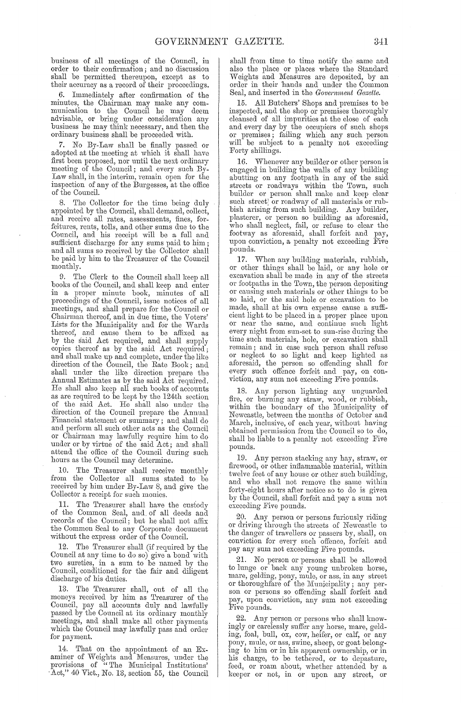business of all meetings of the Council, in order to their confirmation; and no discussion shall be permitted thereupon, except as to their accuracy as a record of their proceedings.

6. Immediately after confirmation of the minutes, the Chairman may make any communication to the Council he may deem advisable, or bring under consideration any business he may think necessary, and then the ordinary business shall be proceeded with.

7. No By-Law shall be finally passed or adopted at the meeting at which it shall have first been proposed, nor until the next ordinary meeting of the Council; and every such By-Law shall, in the interim, remain open for the inspection of any of the Burgesses, at the office of the Council.

The Collector for the time being duly appointed by the Council, shall demand, collect, and receive all rates, assessments, fines, forfeitures, rents, tolls, and other sums due to the Council, and his receipt will be a full and sufficient discharge for any sums paid to him; and all sums so received by the Collector shall be paid by him to the Treasurer of the Council monthly.

9. The Clerk to the Council shall keep all books of the Council, and shaH keep and enter in a proper minute book, minutes of all proceedings of the Council, issue notices of all meetings, and shall prepare for the Council or Chairman thereof, and in due time, the Voters' Lists for the Municipality and for the Wards thereof, and cause them to be affixed as by the said Act required, and shall supply copies thereof as by the said Act required; and shall make up and complete, under the like direction of the Council, the Rate Book; and shall under the like direction prepare the Annual Estimates as by the said Act required. He shall also keep all such books of accounts as are required to be kept by the 124th section of the said Act. He shall also under the direction of the Council prepare the Annual Financial statement or summary; and shall do and perform all such other acts as the Council or Chairman may lawfully require him to do under or by virtue of the said Act; and shall attend the office of the Council during such hours as the Council may determine.

10. The Treasurer shall receive monthly from the Collector all sums stated to be received by him under By-Law 8, and give the Collector a receipt for such monies.

11. The Treasurer shall have the custody of the Common Seal, and of all deeds and records of the Council; but he shall not affix the Common Seal to any Corporate document without the express order of the Council.

12. The Treasurer shall (if required by the Council at any time to do so) give a bond with two sureties, in a sum to be named by the Council, conditioned for the fair and diligent discharge of his duties.

13. The Treasurer shall, out of all the moneys received by him as Treasurer of the Council, pay all accounts duly and lawfully passed by the Council at its ordinary monthly meetings, and shall make all other payments which the Council may lawfully pass and order for payment.

14. That on the appointment of an Examiner of Weights and Measures, under the provisions of "The Municipal Institutions'  $\hat{\mathrm{Act}}$ ," 40 Vict., No. 13, section 55, the Council

shall from time to time notify the same and also the place or places where the Standard Weights and Measures are deposited, by an order in their bands and nnder the Common Seal, and inserted in the *Government Gazette.* 

15. All Butchers' Shops and premises to be inspected, and the shop or premises thoroughly cleansed of all impurities at the close of each and every day by the occupiers of such shops or premises; failing which any snch person will be subject to a penalty not exceeding Forty shillings.

16. Whenever any builder or other person is engaged in building the walls of any building abutting on any footpath in any of the said streets or roadways within the Town, such builder or person shall make and keep clear such street or roadway of all materials or rubbish arising from such building. Any builder, plasterer, or person so building as aforesaid, who shall neglect, fail, or refuse to clear the footway as aforesaid, shall forfeit and pay, upon conviction, a penalty not exceeding Five pounds.

17. When any building materials, rubbish, or other things shall be laid, or any hole or excavation shall be made in any of the streets or footpaths in the Town, the person depositing or causing such materials or other things to be so laid, or the said hole or excavation to be made, shall at his own expense cause a sufficient light to be placed in a proper place upon or near the same, and continue such light every night from sun-set to sun-rise during the time such materials, hole, or excavation shall remain; and in case such person shall refuse or neglect to so light and keep lighted as aforesaid, the person so offending shall for every such offence forfeit and pay, on conviction, any sum not exceeding Five pounds.

IS. Any person lighting any unguarded fire, or burning any straw, wood, or rubbish, within the boundary of the Municipality of Newcastle, between the months of October and March, inclusive, of each year, without having obtained permission from the Council so to do, shall be liable to a penalty not exceeding Five pounds.

19. Any person stacking any hay, straw, or firewood, or other inflammable material, within twelve feet of any house or other such building, and who shall not remove the same within forty-eight hours after notice so to do is given by the Council, shall forfeit and pay a sum not exceeding Five pounds.

20. Any person or persons furiously riding 01' driving through the streets of Newcastle to the danger of travellers or passers by, shall, on conviction for every such offence, forfeit and pay any sum not exceeding Five pounds.

21. No person or persons shall be allowed to lunge or back any young unbroken horse, mare, gelding, pony, mule, or ass, in any street or thoroughfare of the Municipality; any person or persons so offending shall forfeit and pay, upon conviction, any sum not exceeding Five pounds.

22. Any person or persons who shall knowingly or carelessly suffer any horse, mare, gelding, foal, bull, ox, cow, heifer, or calf, or any pony, mule, or ass, swine, sheep, or goat belonging to him or in his apparent ownership, or in his charge, to be tethered, or to depasture, feed, or roam about, whether attended by a keeper or not, in or upon any street, or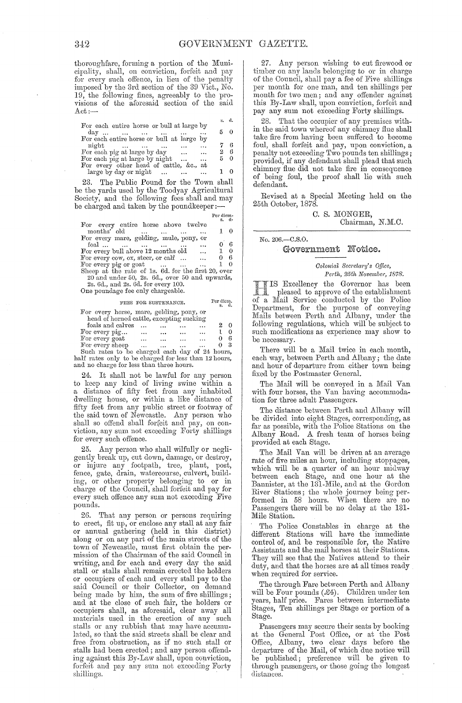thoroughfare, forming a portion of the Municipality, shall, on conviction, forfeit and pay for every such offence, in lieu of the penalty imposed by the 3rd section of the 39 Vict., No. 19, the following fines, agreeably to the provisions of the aforesaid section of the said  $Act. -$ 

|                                                                                |                       | s. d.      |  |
|--------------------------------------------------------------------------------|-----------------------|------------|--|
| For each entire horse or bull at large by<br>$day \ldots \ldots \ldots \ldots$ |                       | $5\quad 0$ |  |
| For each entire horse or bull at large by                                      |                       |            |  |
| night<br>For each pig at large by day $\ldots$                                 |                       | 76<br>26   |  |
| For each pig at large by night<br>$\mathbf{r}$                                 | $\cdots$<br>$\ddotsc$ | 50         |  |
| For every other head of cattle, &c., at                                        |                       |            |  |
| large by day or night                                                          |                       |            |  |

23. The Public Pound for the Town shall be the yards used by the Toodyay Agricultural Society, and the following fees shall and may be charged and taken by the poundkeeper :-

|                                                             | Per diem-    |  |
|-------------------------------------------------------------|--------------|--|
|                                                             | s. d.        |  |
| For every entire horse above twelve                         |              |  |
| months' old                                                 | $1 \quad 0$  |  |
| For every mare, gelding, mule, pony, or                     |              |  |
| foal<br>$\ddotsc$                                           | 06           |  |
| For every bull above 12 months old                          | $\ldots$ 1 0 |  |
| For every cow, $\alpha x$ , steer, or calf<br>$\sim$ $\sim$ | 06           |  |
| For every pig or goat<br>$\sim$ $\sim$ $\sim$               | $1 \quad 0$  |  |
| Sheep at the rate of 1s. 6d. for the first 20, over         |              |  |
| 20 and under 50, 2s. 6d., over 50 and upwards,              |              |  |
| 2s. 6d., and 2s. 6d. for every 100.                         |              |  |
| One poundage fee only chargeable.                           |              |  |

#### **FEES FOR SUSTENANCE.**  Per diem.

|                                                |           |           |          | - 11 - |
|------------------------------------------------|-----------|-----------|----------|--------|
| For every horse, mare, gelding, pony, or       |           |           |          |        |
| head of horned cattle, excepting sucking       |           |           |          |        |
| foals and calves                               |           |           |          | 0      |
| For every pig                                  | $\ddotsc$ | $\ddotsc$ | $\cdots$ | 0      |
| For every goat                                 | $\ddotsc$ |           | $\cdots$ | б      |
| For every sheep                                |           |           | $\cdots$ | - 3    |
| Such rates to be charged each day of 24 hours, |           |           |          |        |
|                                                |           |           |          |        |

Such rates to be charged each day of 24 hours, half rates only to be charged for less than 12 hours, and no charge for less than three hours.

24. It shall not be lawful for any person to keep any kind of living swine within a a distance of fifty feet from any inhabited dwelling house, or within a like distance of fifty feet from any public street or footway of the said town 0f Newcastle. Any person who shall so offend shall forfeit and pay, on conviction, any sum not exceeding Forty shillings for every such offence.

Any person who shall wilfully or negligently break up, cut down, damage, or destroy, or injure any footpath, tree, plant, post, fence, gate, drain, watercourse, culvert, building, or other property belonging to or in charge of the Council, shall forfeit and pay for every such offence any sum not excecding Five pounds.

26. That any person or persons requiring to erect, fit up, or enclose any stall at any fair or annual gathering (held in this district) along or on any part of the main streets of the town of Newcastle, must first obtain the permission of the Chairman of the said Council in writing, and for each and every day the said stall or stalls shall remain erected the holders or occupiers of each and every stall pay to the said Council or their Collector, on demand being made by him, the sum of five shillings; and at the close of such fair, the holders or occupiers shall, as aforesaid, clear away all materials used in the erection of any such stalls or any rubbish that may have accumulated, so that the said streets shall be clear and free from obstruction, as if no such stall or stalls had been erected; and any person offending against this By-Law shall, upon conviction, forfeit and pay any sum not exceeding Forty shillings.

27. Any person wishing to cut firewood or timber on any lands belonging to or in charge of the Council, shall pay a fee of Five shillings per month for one man, and ten shillings per month for two men; and any offender against this By-Law shall, upon conviction, forfeit and pay any sum not exceeding Forty shillings.

28. That the occupier of any premises with. in the said town whereof any chimney fiue shall take fire from having been suffered to become foul, shall forfeit and pay, upon conviction, a penalty not exceeding Two pounds ten shillings; provided, if any defendant shall plead that such chimney flue did not take fire in consequence of being foul, the proof shall lie with such defendant.

Revised at a Special Meeting held on the 25th October, 1878.

> C. S. MONGER, Chairman, N.M.C.

No.20G.-C.S.0.

#### Government Notice.

*Colonial Secretary's Office,*  Perth, 25th November, 1878.

Excellency the Governor has been pleased to approve of the establishment a Mail Service conducted by the Police Department, for the purpose of conveying Mails between Perth and Albany, under the following regulations, which will be subject to such modifications as experience may show to be necessary.

There will be a Mail twice in each month, each way, between Perth and Albany; the date and hour of departure from either town being fixed by the Postmaster General.

The Mail will be conveyed in a Mail Van with four horses, the Van having accommodation for three adult Passengers.

The distance between Perth and Albany will be divided into eight Stages, corresponding, as far as possible, with the Police Stations on the Albany Road. A fresh team of horses being provided at each Stage.

The Mail Van will be driven at an average rate of five miles an hour, including stoppages, which will be a quarter of an hour midway between each Stage, and one hour at the Bannister, at the 131-Mile, and at the Gordon River Stations; the whole journey being performed in 58 hours. When there are no Passengers there will be no delay at the 131- Mile Station.

The Police Constables in charge at the different Stations will have the immediate control of, and be responsible for, the Native Assistants and the mail horses at their Stations. They will see that the Natives attend to their duty, and that the horses are at all times ready when required for service.

The through Fare between Perth and Albany will be Four pounds  $(*4)$ . Children under ten years, half price. Fares between intermediate Stages, Ten shillings per Stage or portion of a Stage.

Passengers may secure their seats by booking at the General Post Office, or at the Post Office, Albany, two clear days before the departure of the Mail, of which due notice will be published; preference will be given to through passengers, or those going the longest distanees.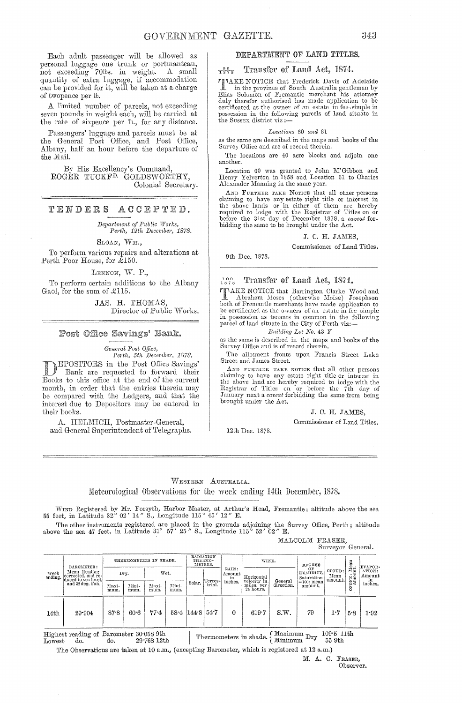Each adult passenger will be allowed as personal luggage one trunk or portmanteau, not exceeding 70lbs. in weight. A small quantity of extra luggage, if accommodation can be provided for it, will be taken at a charge of twopence per  $th$ .

A limited number of parcels, not exceeding seven pounds in weight each, will be carried at the rate of sixpence per lb., for any distance.

Passengers' luggage and parcels must be at the General Post Office, and Post Office, Albany, half an hour before the departure of the Mail.

By His Excellency's Command, ROGER TUCKFD. GOLDSWORTHY, Colonial Secretary.

## TENDERS ACCEPTED.

*Department of Public Works, Perth, 12th December, 1878.* 

SLOAN, WM.,

To perform various repairs and alterations at Perth Poor House, for £150.

LENNON, W. P.,

To perform certain additions to the Albany Gaol, for the sum of £115.

> JAS. H. THOMAS, Director of Public Works.

#### Post Office Savings' Bank.

*General Post Office, Perth, 5th December, 1R78.* 

DEPOSITORS in the Post Office Savings'<br>Bank are requested to forward their Books to this office at the end of the current month, in order that the entries therein may be compared with the Ledgers, and that the interest due to Depositors may be entered in their books.

A. HELMICH, Postmaster-General, and General Superintendent of Telegraphs.

#### DEPARTMENT OF LAND TITLES.

#### Transfer of Land Act, 1874.  $\frac{9.9}{1.8.7}$

**TAKE NOTICE** that Frederick Davis of Adelaide<br>in the province of South Australia gentleman by<br>Elias Solomon of Fremantle merchant his attorney duly therefor authorised has made application to be certificated as the owner of an estate in fee simple in possession in the following parcels of land situate in the Sussex district viz :—

#### Locations 60 and 61

as the same are described in the maps and books of the Survey Office and are of record therein.

The locations are 40 acre blocks and adjoin one another.

Location 60 was granted to John M'Gibbon and<br>Henry Yelverton in 1858 and Location 61 to Charles Alexander Manning in the same year.

AND FURTHER TAKE NOTICE that all other persons claiming to have any estate right title or interest in the above lands or in either of them are hereby required to lodge with the Registrar of Titles on or before the 31st day of December 1878, a *caveat* forbidding the same to be brought under the Act.

#### J. C. H. JAMES.

Commissioner of Land Titles.

9th Dec. 1878.

#### $\frac{100}{1878}$ Transfer of Land Act, 1874.

I AKE NOTICE that Barrington Clarke Wood and Abraham Moses (otherwise Moïse) Josephson both of Fremantle merchants have made application to be certificated as the owners of an estate in fee simple in possession as tenants in common in the following parcel of land situate in the City of Perth viz:-

#### Building *Lot No.* 43 Y

as the same is described in the maps and books of the Survey Office and is of record therein.

The allotment fronts upon Francis Street Lake Street and James Street.

AND FURTHER TAKE NOTICE that all other persons claiming to have any estate right title or interest in the above land are hereby required to lodge with the Registrar of Titles on or before the 7th day of January next a *cav* 

J. C. H. JAMES,

Commissioner of Land Titles.

12th Dec. 1878.

## WESTERN AUSTRALIA.

Ueteorological Observations for the week ending 14th December, 1878.

WIND Registered by Mr. Forsyth, Harbor Master, at Arthur's Head, Fremantle; altitude above the sea<br>55 feet, in Latitude 32° 02' *14"* S., Longitude 115° 45' 12" E.

The other instruments registered are placed in the grounds adjoining the Survey Office, Perth; altitude above the sea 47 feet, in Latitude 31° 57' 25" S., Longitude 115° 52' 02" E.

MALCOLM FRASER, Surveyor General.

| Week<br>ending.                                                               | BAROMETER:<br>Mean Reading<br>corrected, and re-<br>duced to sea level.<br>and 32 deg. Fah. |               | THERMOMETERS IN SHADE. |               |               |        | RADIATION<br>THERMO-<br>METERS. |             | WIND.                                  |                               | <b>DEGREE</b>             |                              | Mean<br>ait.                         | EVAPOR- |
|-------------------------------------------------------------------------------|---------------------------------------------------------------------------------------------|---------------|------------------------|---------------|---------------|--------|---------------------------------|-------------|----------------------------------------|-------------------------------|---------------------------|------------------------------|--------------------------------------|---------|
|                                                                               |                                                                                             |               | Dry.                   |               | Wet.          |        | RAIN:<br>Amount<br>in           | Horizontal  |                                        | OF<br>HUMIDITY.<br>Saturation | CLOUD:<br>Mean<br>amount. | $\cdots$<br>CNE <sub>1</sub> | ATION:<br>$_{\rm \bf A mount}$<br>in |         |
|                                                                               |                                                                                             | Maxi-<br>mum. | Mini-<br>mum.          | Maxi-<br>mum. | Mini-<br>mum. | Solar. | Terres-<br>trial.               | inches.     | velocity in<br>miles, per<br>24 hours. | General<br>direction.         | $=100$ : mean<br>amount.  |                              | Ň<br>$\circ$                         | inches. |
| 14 <sub>th</sub>                                                              | 29.904                                                                                      | 87.8          | 60.6                   | 77.4          | $58 - 4$      | 144.8  | 54.7                            | $\mathbf 0$ | 619.7                                  | S.W.                          | 79                        | 1.7                          | 5.8                                  | 1.92    |
| Highest reading of Barometer 30.058 9th<br>29.76812th<br>do.<br>do.<br>Lowest |                                                                                             |               |                        |               |               |        |                                 |             | Thermometers in shade.                 | Maximum<br>Minimum            | Dry                       | $109.5$ 11th<br>$55$ $9th$   |                                      |         |

The Observations are taken at 10 a.m., (excepting Barometer, which is registered at 12 a.m.)

M. A. C. FRASER, Observer.